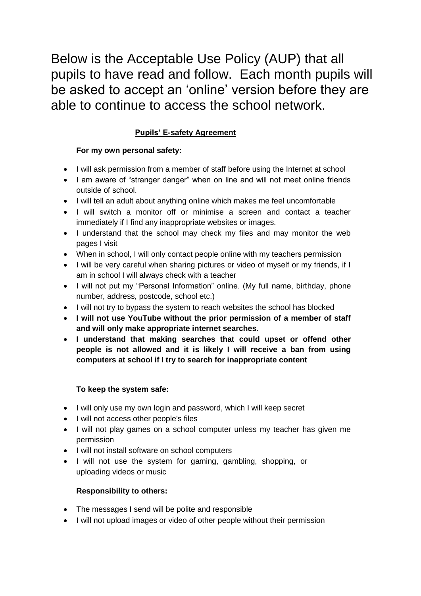Below is the Acceptable Use Policy (AUP) that all pupils to have read and follow. Each month pupils will be asked to accept an 'online' version before they are able to continue to access the school network.

# **Pupils' E-safety Agreement**

## **For my own personal safety:**

- I will ask permission from a member of staff before using the Internet at school
- I am aware of "stranger danger" when on line and will not meet online friends outside of school.
- I will tell an adult about anything online which makes me feel uncomfortable
- I will switch a monitor off or minimise a screen and contact a teacher immediately if I find any inappropriate websites or images.
- I understand that the school may check my files and may monitor the web pages I visit
- When in school, I will only contact people online with my teachers permission
- I will be very careful when sharing pictures or video of myself or my friends, if I am in school I will always check with a teacher
- I will not put my "Personal Information" online. (My full name, birthday, phone number, address, postcode, school etc.)
- I will not try to bypass the system to reach websites the school has blocked
- **I will not use YouTube without the prior permission of a member of staff and will only make appropriate internet searches.**
- **I understand that making searches that could upset or offend other people is not allowed and it is likely I will receive a ban from using computers at school if I try to search for inappropriate content**

#### **To keep the system safe:**

- I will only use my own login and password, which I will keep secret
- I will not access other people's files
- I will not play games on a school computer unless my teacher has given me permission
- I will not install software on school computers
- I will not use the system for gaming, gambling, shopping, or uploading videos or music

#### **Responsibility to others:**

- The messages I send will be polite and responsible
- I will not upload images or video of other people without their permission